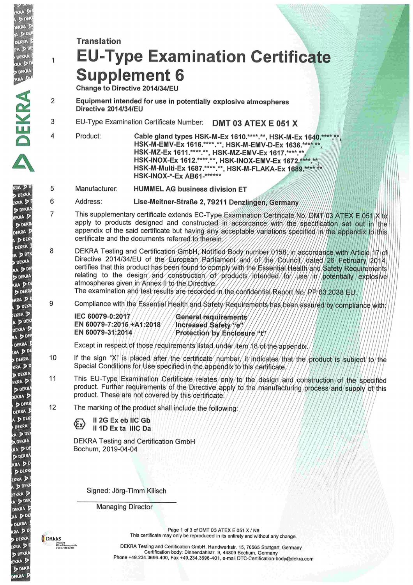# **Translation EU-Type Examination Certificate Supplement 6**

Change to Directive 2014/34/EU

 $D^{n}$ **DEKRA** 

RA DIN

**DEKRA** 

**RADD DEKRA** 

**KRA** 

**DEKRA** 

RA<sub>20</sub>

**DEKRA** 

**KRA** 2

D DEKRA

EKRA D

D DEKR

**DEKRA** 

A D DEKE **DEKRA** 

BA D DE

**DEKRA** 

RA D<sup>DE</sup>

**DEKRA** 

(RA DD

D DEKRA KRA DI

**DEKR FKRA P** 

A D DEK

DEKRA<sup>D</sup>

A D DEI **DEKRA** 

**RA** DDI

**DEKRA** 

**KRA** DD **DEKRA** 

**EKRA** 

D DEKRA

EKRA D **DEKR** 

DEKRA 5 A D DEK

**DEKRA** 

**BAD DEI** 

**D. DEKRA** RA DDI

D DEKRA **KRA** DD **DEKR FKRA** D DEKI

**DEKRA** D A D DEK

DEKRA 5 RA DE **DEKRA CRA** DD

**DEKRA KRA**<sub>2</sub>

D DEKRA

KRA D **DEKR** DEKRA D  $\overline{1}$ 

 $\overline{4}$ 

- $\overline{2}$ Equipment intended for use in potentially explosive atmospheres Directive 2014/34/EU
- EU-Type Examination Certificate Number: DMT 03 ATEX E 051 X 3
	- Product: Cable gland types HSK-M-Ex 1610.\*\*\*\*.\*\*, HSK-M-Ex 1640.\*\*\*\*.\* HSK-M-EMV-Ex 1616.\*\*\*\*.\*\*, HSK-M-EMV-D-Ex 1636.\*\*\*\*.\*\*, HSK-MZ-Ex 1611.\*\*\*\*.\*\*, HSK-MZ-EMV-Ex 1617.\*\*\*\*.\*\* HSK-INOX-Ex 1612.\*\*\*\*.\*\*, HSK-INOX-EMV-Ex 1672.\*\*\*\*.\*\*, HSK-INOX-EMV-Ex 1689.\*\*\* HSK-INOX-\*-Ex AB61-\*\*\*\*\*\*\*
- 5 Manufacturer: **HUMMEL AG business division ET**

6 Address: Lise-Meitner-Straße 2, 79211 Denzlingen. Germany

- This supplementary certificate extends EC-Type Examination Certificate No. DMW 03 ATEX E 051 X to  $\overline{7}$ apply to products designed and constructed in accordance with the specification set out in the appendix of the said certificate but having any acceptable variations specified in the appendix to this certificate and the documents referred to therein.
- DEKRA Testing and Certification GmbH, Notified Body number 0158/1n/accordance with Article 17 of 8 Directive 2014/34/EU of the European Parliament and 6/ the Council dated 26 February 2014, certifies that this product has been found to comply with the Essential Health/and Safety Requirements relating to the design and construction of products intended for use in potentially explosive atmospheres given in Annex II to the Directive

The examination and test results are recorded in the confidential Report No. PP/03.2038 EU

9 Compliance with the Essential Health and Safety Requirements has been assured by compliance with:

IEC 60079-0:2017 EN 60079-7:2015 +A1:2018 EN 60079-31:2014

General requirements Increased Safety "e" Protection by Enclosure "t"

Except in respect of those requirements listed under item 18/of the appendix

- If the sign "X" is placed after the certificate number it indicates that the product is subject to the 10 Special Conditions for Use specified in the appendix to this certificate.
- 11 This EU-Type Examination Certificate relates/only/to the design and construction of the specified product. Further requirements of the Directive apply to the manufacturing process and supply of this product. These are not covered by this certificate.
- $12$ The marking of the product shall include the following

II 2G Ex eb IIC Gb Il 1D Ex ta IIIC Da

**DEKRA Testing and Certification GmbH** Bochum, 2019-04-04

Signed: Jörg-Timm Kilisch

**Managing Director** 

**B**DAkkS Akkreditierungsstell

Page 1 of 3 of DMT 03 ATEX E 051 X / N6 This certificate may only be reproduced in its entirety and without any change.

DEKRA Testing and Certification GmbH, Handwerkstr. 15, 70565 Stuttgart, Germany Certification body: Dinnendahlstr. 9, 44809 Bochum, Germany Phone +49.234.3696-400, Fax +49.234.3696-401, e-mail DTC-Certification-body@dekra.com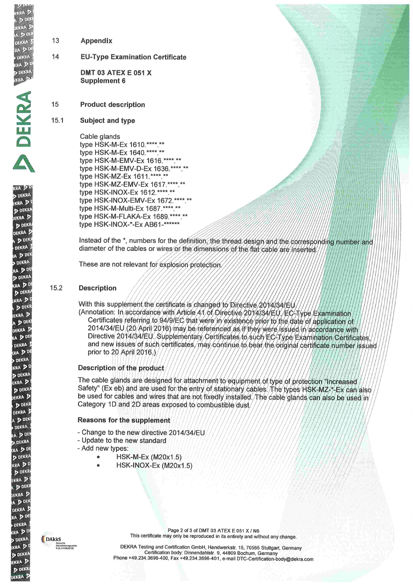- **A**<sub>D</sub> DEKRA **RA** P **DEKRA KRA**<sub>2</sub>
- **DEKRA**

 $(1, 1)$ 

**DEKRA** 

**RA** 

**DEKRI** 

**KRA** 

**DEKR** DEKRA D D DEKE

DEKRA

A D DEN **DEKRA** 

RA DDE **DEKRA** KRA DD

D DEKR **KRA** 2

**DEKR** 

**EKRA** 

A D DEK

DEKRA J

A DE

**DEKRA** RA DDI

**DEKRA** KRA D<sup>T</sup>

**DEKRA** 

**KRA** D

D DEKRI

**FKRA DEKR** 

DEKRA D A D DEK

**DEKRA** 

RA DDE

**DEKRA** 

RA DD

D DEKRA **KRA** DI

**DEKR** KRA D **DEK FKRA** A D DEK DEKRA RA DDE **DEKRA** 

**RADI** 

**DEKRA** 

kra D

**DEKR VRA** D **DEKR FKRA**  13 Appendix

14 **EU-Type Examination Certificate** 

> **DMT 03 ATEX E 051 X** Supplement 6

15 **Product description** 

## $15.1$ Subject and type

Cable glands type HSK-M-Ex 1610.\*\*\*\*.\*\* type HSK-M-Ex 1640.\*\*\*\*.\*\* type HSK-M-EMV-Ex 1616.\*\*\*\*.\*\* type HSK-M-EMV-D-Ex 1636.\*\*\*\*.\*\* type HSK-MZ-Ex 1611.\*\*\*\*.\*\* type HSK-MZ-EMV-Ex 1617.\*\*\*\*.\*\* type HSK-INOX-Ex 1612.\*\*\*\*.\*\* type HSK-INOX-EMV-Ex 1672.\*\*\*\*.\*\* type HSK-M-Multi-Ex 1687.\*\*\*\*.\*\* type HSK-M-FLAKA-Ex 1689.\*\*\*\* \*\* type HSK-INOX-\*-Ex AB61-\*\*\*\*\*\*

Instead of the \*, numbers for the definition, the thread design and the corresponding number and diameter of the cables or wires or the dimensions of the flat cable are inserted

These are not relevant for explosion protection.

## 15.2 **Description**

With this supplement the certificate is changed to Directive 2014/34/EU

(Annotation: In/accordance/with/Article/A1/of/Directive/2014/34/EU//EC/Type/Examination Certificates referring to 94/9/EC/that were in existence prior to the date of application of 2014/34/EU (20/April/2016) may be referenced as if they were issued in accordance with Directive 2014/34/EU. Supplementary Certificates to such EC-Type/Examination Certificates. and new issues of such/certificates/may/continue/to/bear/the/original/certificate/number issued prior to 20 April 2016.)

# Description of the product

The cable glands are designed for attachment to equipment of type of protection "Increased" Safety" (Ex eb) and are used for the entry of stationary cables. The types HSK-MZ-+-Ex can also be used for cables and wires that are not fixedly installed. The cable glands can also be used in Category 1D and 2D areas exposed to combustible dust.

# **Reasons for the supplement**

- Change to the new directive 2014/34/EU
- Update to the new standard
- Add new types:
	- HSK-M-Ex (M20x1.5)
	- HSK-INOX-Ex (M20x1.5)

DAkkS Akkreditierungsstell

Page 2 of 3 of DMT 03 ATEX E 051 X / N6 This certificate may only be reproduced in its entirety and without any change.

DEKRA Testing and Certification GmbH, Handwerkstr. 15, 70565 Stuttgart, Germany DENNA Testing and Centrication Gribin, Handwerkstr. 19, 70000 Stuttgart, Germany<br>Certification body: Dinnendahlstr. 9, 44809 Bochum, Germany<br>Phone +49.234.3696-400, Fax +49.234.3696-401, e-mail DTC-Certification-body@dekra